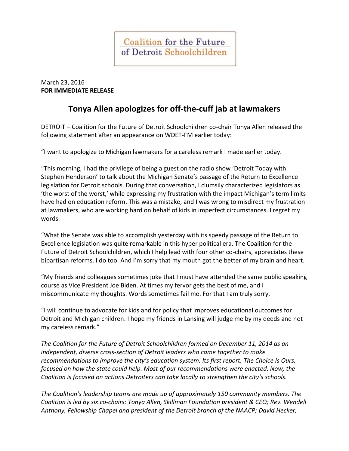**Coalition for the Future** of Detroit Schoolchildren

March 23, 2016 **FOR IMMEDIATE RELEASE**

## **Tonya Allen apologizes for off-the-cuff jab at lawmakers**

DETROIT – Coalition for the Future of Detroit Schoolchildren co-chair Tonya Allen released the following statement after an appearance on WDET-FM earlier today:

"I want to apologize to Michigan lawmakers for a careless remark I made earlier today.

"This morning, I had the privilege of being a guest on the radio show 'Detroit Today with Stephen Henderson' to talk about the Michigan Senate's passage of the Return to Excellence legislation for Detroit schools. During that conversation, I clumsily characterized legislators as 'the worst of the worst,' while expressing my frustration with the impact Michigan's term limits have had on education reform. This was a mistake, and I was wrong to misdirect my frustration at lawmakers, who are working hard on behalf of kids in imperfect circumstances. I regret my words.

"What the Senate was able to accomplish yesterday with its speedy passage of the Return to Excellence legislation was quite remarkable in this hyper political era. The Coalition for the Future of Detroit Schoolchildren, which I help lead with four other co-chairs, appreciates these bipartisan reforms. I do too. And I'm sorry that my mouth got the better of my brain and heart.

"My friends and colleagues sometimes joke that I must have attended the same public speaking course as Vice President Joe Biden. At times my fervor gets the best of me, and I miscommunicate my thoughts. Words sometimes fail me. For that I am truly sorry.

"I will continue to advocate for kids and for policy that improves educational outcomes for Detroit and Michigan children. I hope my friends in Lansing will judge me by my deeds and not my careless remark."

*The Coalition for the Future of Detroit Schoolchildren formed on December 11, 2014 as an independent, diverse cross-section of Detroit leaders who came together to make recommendations to improve the city's education system. Its first report, The Choice Is Ours, focused on how the state could help. Most of our recommendations were enacted. Now, the Coalition is focused on actions Detroiters can take locally to strengthen the city's schools.* 

*The Coalition's leadership teams are made up of approximately 150 community members. The Coalition is led by six co-chairs: Tonya Allen, Skillman Foundation president & CEO; Rev. Wendell Anthony, Fellowship Chapel and president of the Detroit branch of the NAACP; David Hecker,*